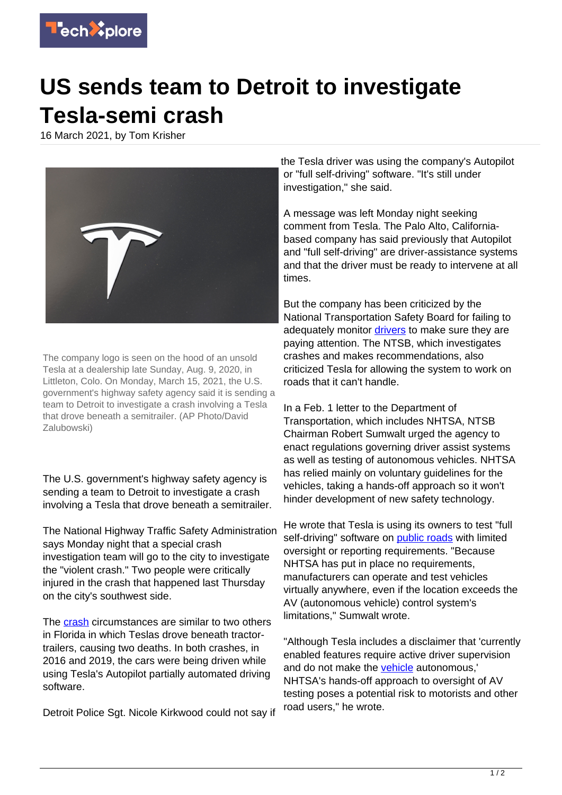

## **US sends team to Detroit to investigate Tesla-semi crash**

16 March 2021, by Tom Krisher



The company logo is seen on the hood of an unsold Tesla at a dealership late Sunday, Aug. 9, 2020, in Littleton, Colo. On Monday, March 15, 2021, the U.S. government's highway safety agency said it is sending a team to Detroit to investigate a crash involving a Tesla that drove beneath a semitrailer. (AP Photo/David Zalubowski)

The U.S. government's highway safety agency is sending a team to Detroit to investigate a crash involving a Tesla that drove beneath a semitrailer.

The National Highway Traffic Safety Administration says Monday night that a special crash investigation team will go to the city to investigate the "violent crash." Two people were critically injured in the crash that happened last Thursday on the city's southwest side.

The **crash** circumstances are similar to two others in Florida in which Teslas drove beneath tractortrailers, causing two deaths. In both crashes, in 2016 and 2019, the cars were being driven while using Tesla's Autopilot partially automated driving software.

Detroit Police Sgt. Nicole Kirkwood could not say if

the Tesla driver was using the company's Autopilot or "full self-driving" software. "It's still under investigation," she said.

A message was left Monday night seeking comment from Tesla. The Palo Alto, Californiabased company has said previously that Autopilot and "full self-driving" are driver-assistance systems and that the driver must be ready to intervene at all times.

But the company has been criticized by the National Transportation Safety Board for failing to adequately monitor [drivers](https://techxplore.com/tags/drivers/) to make sure they are paying attention. The NTSB, which investigates crashes and makes recommendations, also criticized Tesla for allowing the system to work on roads that it can't handle.

In a Feb. 1 letter to the Department of Transportation, which includes NHTSA, NTSB Chairman Robert Sumwalt urged the agency to enact regulations governing driver assist systems as well as testing of autonomous vehicles. NHTSA has relied mainly on voluntary guidelines for the vehicles, taking a hands-off approach so it won't hinder development of new safety technology.

He wrote that Tesla is using its owners to test "full self-driving" software on [public roads](https://techxplore.com/tags/public+roads/) with limited oversight or reporting requirements. "Because NHTSA has put in place no requirements, manufacturers can operate and test vehicles virtually anywhere, even if the location exceeds the AV (autonomous vehicle) control system's limitations," Sumwalt wrote.

"Although Tesla includes a disclaimer that 'currently enabled features require active driver supervision and do not make the [vehicle](https://techxplore.com/tags/vehicle/) autonomous,' NHTSA's hands-off approach to oversight of AV testing poses a potential risk to motorists and other road users," he wrote.